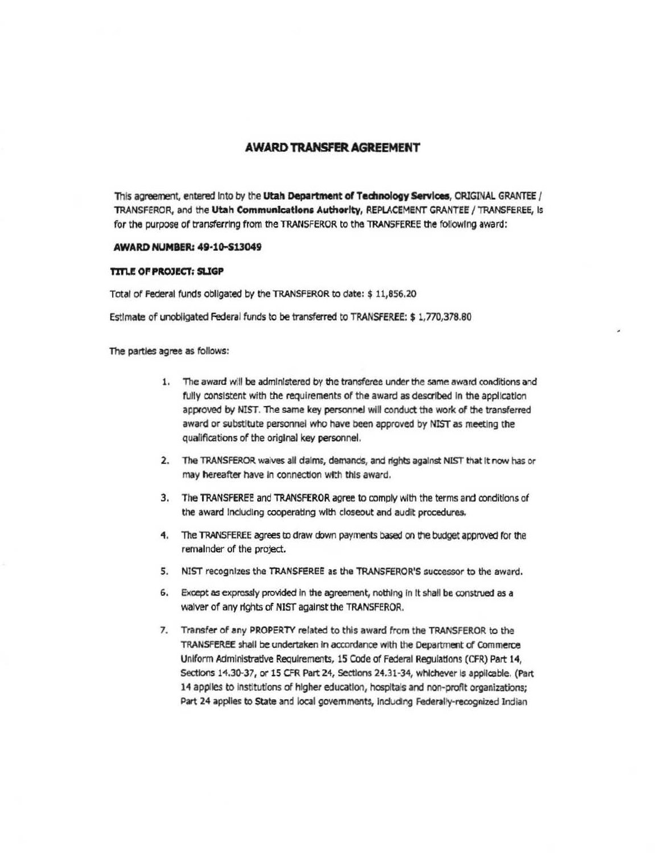# **AWARD TRANSFER AGREEMENT**

This agreement, entered into by the Utah Department of Technology Services, CRIGINAL GRANTEE / TRANSFEROR, and the Utah Communications Authority, REPLACEMENT GRANTEE / TRANSFEREE, is for the purpose of transferring from the TRANSFEROR to the TRANSFEREE the following award:

## **AWARD NUMBER: 49-10-S13049**

### **TITLE OF PROJECT: SLIGP**

Total of Federal funds obligated by the TRANSFEROR to date: \$ 11,856.20

Estimate of unobligated Federal funds to be transferred to TRANSFEREE: \$ 1,770,378.80

The parties agree as follows:

- 1. The award will be administered by the transferee under the same award conditions and fully consistent with the requirements of the award as described in the application approved by NIST. The same key personnel will conduct the work of the transferred award or substitute personnel who have been approved by NIST as meeting the qualifications of the original key personnel.
- 2. The TRANSFEROR waives all daims, demands, and rights against NIST that it now has or may hereafter have in connection with this award.
- 3. The TRANSFEREE and TRANSFEROR agree to comply with the terms and conditions of the award including cooperating with closeout and audit procedures.
- 4. The TRANSFEREE agrees to draw down payments based on the budget approved for the remainder of the project.
- 5. NIST recognizes the TRANSFEREE as the TRANSFEROR'S successor to the award.
- 6. Except as expressly provided in the agreement, nothing in it shall be construed as a waiver of any rights of NIST against the TRANSFEROR.
- 7. Transfer of any PROPERTY related to this award from the TRANSFEROR to the TRANSFEREE shall be undertaken in accordance with the Department of Commerce Uniform Administrative Requirements, 15 Code of Federal Regulations (CFR) Part 14, Sections 14,30-37, or 15 CFR Part 24, Sections 24.31-34, whichever is applicable. (Part 14 applies to institutions of higher education, hospitals and non-profit organizations; Part 24 applies to State and local governments, including Federally-recognized Indian